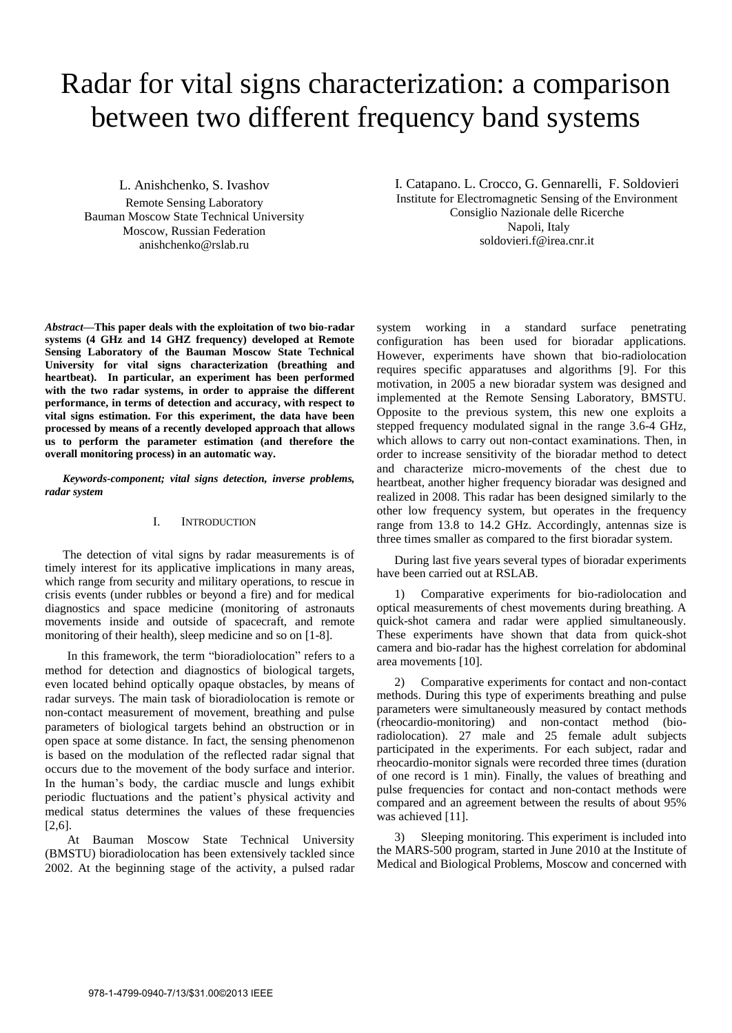# Radar for vital signs characterization: a comparison between two different frequency band systems

L. Anishchenko, S. Ivashov

Remote Sensing Laboratory Bauman Moscow State Technical University Moscow, Russian Federation anishchenko@rslab.ru

Institute for Electromagnetic Sensing of the Environment Consiglio Nazionale delle Ricerche Napoli, Italy soldovieri.f@irea.cnr.it

I. Catapano. L. Crocco, G. Gennarelli, F. Soldovieri

*Abstract***—This paper deals with the exploitation of two bio-radar systems (4 GHz and 14 GHZ frequency) developed at Remote Sensing Laboratory of the Bauman Moscow State Technical University for vital signs characterization (breathing and heartbeat). In particular, an experiment has been performed with the two radar systems, in order to appraise the different performance, in terms of detection and accuracy, with respect to vital signs estimation. For this experiment, the data have been processed by means of a recently developed approach that allows us to perform the parameter estimation (and therefore the overall monitoring process) in an automatic way.** 

*Keywords-component; vital signs detection, inverse problems, radar system* 

# I. INTRODUCTION

The detection of vital signs by radar measurements is of timely interest for its applicative implications in many areas, which range from security and military operations, to rescue in crisis events (under rubbles or beyond a fire) and for medical diagnostics and space medicine (monitoring of astronauts movements inside and outside of spacecraft, and remote monitoring of their health), sleep medicine and so on [1-8].

In this framework, the term "bioradiolocation" refers to a method for detection and diagnostics of biological targets, even located behind optically opaque obstacles, by means of radar surveys. The main task of bioradiolocation is remote or non-contact measurement of movement, breathing and pulse parameters of biological targets behind an obstruction or in open space at some distance. In fact, the sensing phenomenon is based on the modulation of the reflected radar signal that occurs due to the movement of the body surface and interior. In the human's body, the cardiac muscle and lungs exhibit periodic fluctuations and the patient's physical activity and medical status determines the values of these frequencies [2,6].

At Bauman Moscow State Technical University (BMSTU) bioradiolocation has been extensively tackled since 2002. At the beginning stage of the activity, a pulsed radar

system working in a standard surface penetrating configuration has been used for bioradar applications. However, experiments have shown that bio-radiolocation requires specific apparatuses and algorithms [9]. For this motivation, in 2005 a new bioradar system was designed and implemented at the Remote Sensing Laboratory, BMSTU. Opposite to the previous system, this new one exploits a stepped frequency modulated signal in the range 3.6-4 GHz, which allows to carry out non-contact examinations. Then, in order to increase sensitivity of the bioradar method to detect and characterize micro-movements of the chest due to heartbeat, another higher frequency bioradar was designed and realized in 2008. This radar has been designed similarly to the other low frequency system, but operates in the frequency range from 13.8 to 14.2 GHz. Accordingly, antennas size is three times smaller as compared to the first bioradar system.

During last five years several types of bioradar experiments have been carried out at RSLAB.

1) Comparative experiments for bio-radiolocation and optical measurements of chest movements during breathing. A quick-shot camera and radar were applied simultaneously. These experiments have shown that data from quick-shot camera and bio-radar has the highest correlation for abdominal area movements [10].

2) Comparative experiments for contact and non-contact methods. During this type of experiments breathing and pulse parameters were simultaneously measured by contact methods (rheocardio-monitoring) and non-contact method (bioradiolocation). 27 male and 25 female adult subjects participated in the experiments. For each subject, radar and rheocardio-monitor signals were recorded three times (duration of one record is 1 min). Finally, the values of breathing and pulse frequencies for contact and non-contact methods were compared and an agreement between the results of about 95% was achieved [11].

3) Sleeping monitoring. This experiment is included into the MARS-500 program, started in June 2010 at the Institute of Medical and Biological Problems, Moscow and concerned with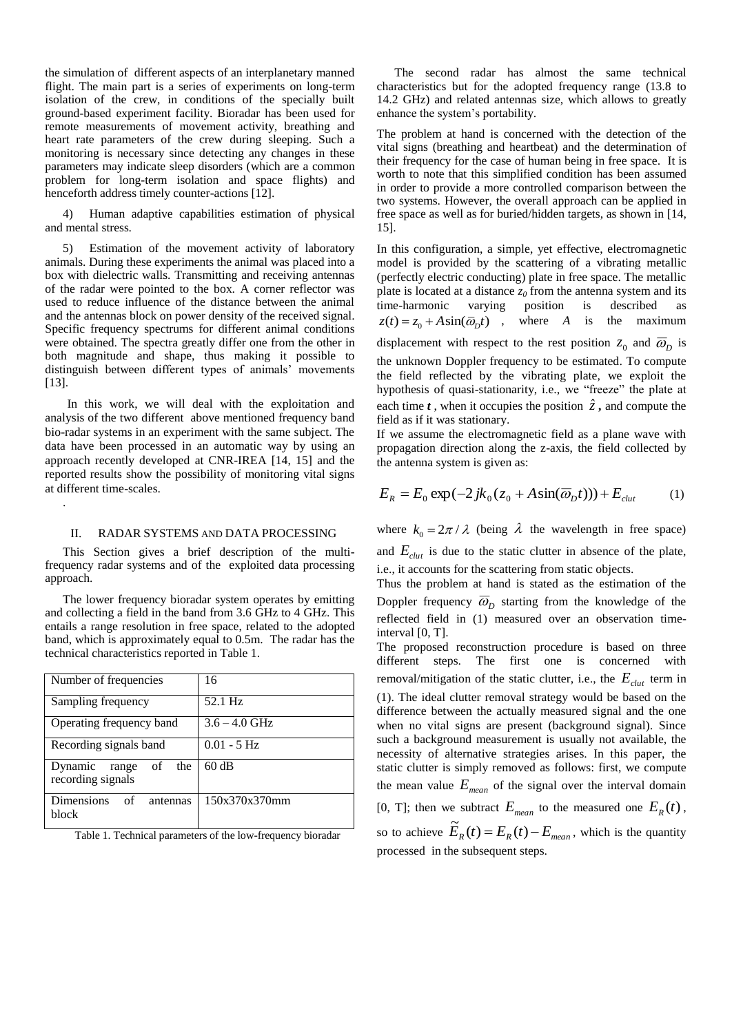the simulation of different aspects of an interplanetary manned flight. The main part is a series of experiments on long-term isolation of the crew, in conditions of the specially built ground-based experiment facility. Bioradar has been used for remote measurements of movement activity, breathing and heart rate parameters of the crew during sleeping. Such a monitoring is necessary since detecting any changes in these parameters may indicate sleep disorders (which are a common problem for long-term isolation and space flights) and henceforth address timely counter-actions [12].

4) Human adaptive capabilities estimation of physical and mental stress.

5) Estimation of the movement activity of laboratory animals. During these experiments the animal was placed into a box with dielectric walls. Transmitting and receiving antennas of the radar were pointed to the box. A corner reflector was used to reduce influence of the distance between the animal and the antennas block on power density of the received signal. Specific frequency spectrums for different animal conditions were obtained. The spectra greatly differ one from the other in both magnitude and shape, thus making it possible to distinguish between different types of animals' movements [13].

In this work, we will deal with the exploitation and analysis of the two different above mentioned frequency band bio-radar systems in an experiment with the same subject. The data have been processed in an automatic way by using an approach recently developed at CNR-IREA [14, 15] and the reported results show the possibility of monitoring vital signs at different time-scales.

## II. RADAR SYSTEMS AND DATA PROCESSING

.

This Section gives a brief description of the multifrequency radar systems and of the exploited data processing approach.

The lower frequency bioradar system operates by emitting and collecting a field in the band from 3.6 GHz to 4 GHz. This entails a range resolution in free space, related to the adopted band, which is approximately equal to 0.5m. The radar has the technical characteristics reported in Table 1.

| Number of frequencies                        | 16              |
|----------------------------------------------|-----------------|
| Sampling frequency                           | 52.1 Hz         |
| Operating frequency band                     | $3.6 - 4.0$ GHz |
| Recording signals band                       | $0.01 - 5$ Hz   |
| Dynamic range<br>of the<br>recording signals | 60 dB           |
| <b>Dimensions</b><br>of<br>antennas<br>block | 150x370x370mm   |

Table 1. Technical parameters of the low-frequency bioradar

The second radar has almost the same technical characteristics but for the adopted frequency range (13.8 to 14.2 GHz) and related antennas size, which allows to greatly enhance the system's portability.

The problem at hand is concerned with the detection of the vital signs (breathing and heartbeat) and the determination of their frequency for the case of human being in free space. It is worth to note that this simplified condition has been assumed in order to provide a more controlled comparison between the two systems. However, the overall approach can be applied in free space as well as for buried/hidden targets, as shown in [14, 15].

In this configuration, a simple, yet effective, electromagnetic model is provided by the scattering of a vibrating metallic (perfectly electric conducting) plate in free space. The metallic plate is located at a distance  $z_0$  from the antenna system and its<br>time-harmonic varying position is described as time-harmonic varying position is described as  $z(t) = z_0 + A\sin(\overline{\omega}_D t)$ , where *A* is the maximum displacement with respect to the rest position  $z_0$  and  $\overline{\omega}_D$  is the unknown Doppler frequency to be estimated. To compute the field reflected by the vibrating plate, we exploit the hypothesis of quasi-stationarity, i.e., we "freeze" the plate at

each time *t*, when it occupies the position  $\hat{z}$ , and compute the field as if it was stationary. If we assume the electromagnetic field as a plane wave with propagation direction along the z-axis, the field collected by the antenna system is given as:

$$
E_R = E_0 \exp(-2jk_0(z_0 + A\sin(\overline{\omega}_D t))) + E_{\text{clut}} \tag{1}
$$

where  $k_0 = 2\pi / \lambda$  (being  $\lambda$  the wavelength in free space)

and  $E_{\text{clut}}$  is due to the static clutter in absence of the plate, i.e., it accounts for the scattering from static objects.

Thus the problem at hand is stated as the estimation of the Doppler frequency  $\overline{\omega}_D$  starting from the knowledge of the reflected field in (1) measured over an observation timeinterval [0, T].

The proposed reconstruction procedure is based on three different steps. The first one is concerned with removal/mitigation of the static clutter, i.e., the *Eclut* term in (1). The ideal clutter removal strategy would be based on the difference between the actually measured signal and the one when no vital signs are present (background signal). Since such a background measurement is usually not available, the necessity of alternative strategies arises. In this paper, the static clutter is simply removed as follows: first, we compute the mean value  $E_{mean}$  of the signal over the interval domain [0, T]; then we subtract  $E_{mean}$  to the measured one  $E_R(t)$ , so to achieve  $\widetilde{E}_R(t) = E_R(t) - E_{mean}$ , which is the quantity processed in the subsequent steps.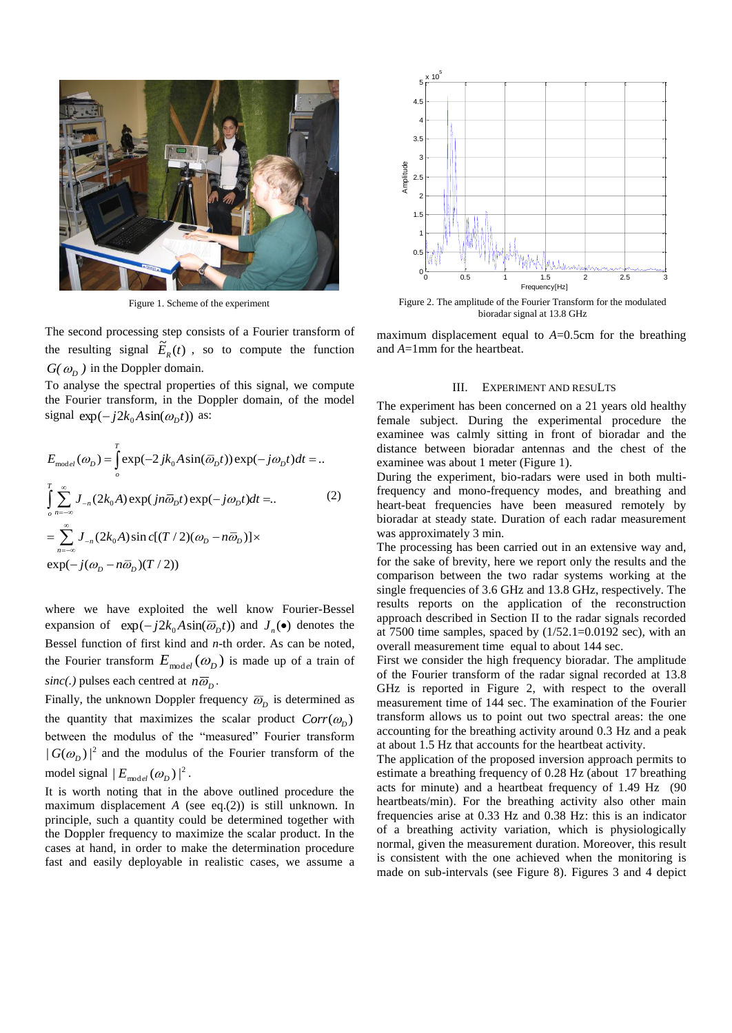

Figure 1. Scheme of the experiment

The second processing step consists of a Fourier transform of the resulting signal  $\tilde{E}_R(t)$ , so to compute the function  $G(\omega_D)$  in the Doppler domain.

To analyse the spectral properties of this signal, we compute the Fourier transform, in the Doppler domain, of the model signal  $\exp(-j2k_0 A \sin(\omega_D t))$  as:

$$
E_{\text{model}}( \omega_D ) = \int_{o}^{T} \exp(-2jk_0 A \sin(\overline{\omega}_D t)) \exp(-j\omega_D t) dt = ..
$$
  

$$
\int_{o}^{T} \sum_{n=-\infty}^{\infty} J_{-n} (2k_0 A) \exp(jn\overline{\omega}_D t) \exp(-j\omega_D t) dt = ..
$$
  

$$
= \sum_{n=-\infty}^{\infty} J_{-n} (2k_0 A) \sin c[(T/2)(\omega_D - n\overline{\omega}_D)] \times
$$
  

$$
\exp(-j(\omega_D - n\overline{\omega}_D)(T/2))
$$

where we have exploited the well know Fourier-Bessel expansion of  $exp(-j2k_0 A sin(\overline{\omega}_D t))$  and  $J_n(\bullet)$  denotes the Bessel function of first kind and *n*-th order. As can be noted, the Fourier transform  $E_{\text{model}}( \omega_D )$  is made up of a train of *sinc*(.) pulses each centred at  $n\overline{\omega}_p$ .

Finally, the unknown Doppler frequency  $\overline{\omega}_p$  is determined as the quantity that maximizes the scalar product  $Corr(\omega_D)$ between the modulus of the "measured" Fourier transform  $|G(\omega_D)|^2$  and the modulus of the Fourier transform of the model signal  $|E_{\text{model}}(\omega_D)|^2$ .

It is worth noting that in the above outlined procedure the maximum displacement *A* (see eq.(2)) is still unknown. In principle, such a quantity could be determined together with the Doppler frequency to maximize the scalar product. In the cases at hand, in order to make the determination procedure fast and easily deployable in realistic cases, we assume a



bioradar signal at 13.8 GHz

maximum displacement equal to *A*=0.5cm for the breathing and *A*=1mm for the heartbeat.

#### III. EXPERIMENT AND RESULTS

The experiment has been concerned on a 21 years old healthy female subject. During the experimental procedure the examinee was calmly sitting in front of bioradar and the distance between bioradar antennas and the chest of the examinee was about 1 meter (Figure 1).

During the experiment, bio-radars were used in both multifrequency and mono-frequency modes, and breathing and heart-beat frequencies have been measured remotely by bioradar at steady state. Duration of each radar measurement was approximately 3 min.

The processing has been carried out in an extensive way and, for the sake of brevity, here we report only the results and the comparison between the two radar systems working at the single frequencies of 3.6 GHz and 13.8 GHz, respectively. The results reports on the application of the reconstruction approach described in Section II to the radar signals recorded at 7500 time samples, spaced by  $(1/52.1=0.0192 \text{ sec})$ , with an overall measurement time equal to about 144 sec.

First we consider the high frequency bioradar. The amplitude of the Fourier transform of the radar signal recorded at 13.8 GHz is reported in Figure 2, with respect to the overall measurement time of 144 sec. The examination of the Fourier transform allows us to point out two spectral areas: the one accounting for the breathing activity around 0.3 Hz and a peak at about 1.5 Hz that accounts for the heartbeat activity.

The application of the proposed inversion approach permits to estimate a breathing frequency of 0.28 Hz (about 17 breathing acts for minute) and a heartbeat frequency of 1.49 Hz (90 heartbeats/min). For the breathing activity also other main frequencies arise at 0.33 Hz and 0.38 Hz: this is an indicator of a breathing activity variation, which is physiologically normal, given the measurement duration. Moreover, this result is consistent with the one achieved when the monitoring is made on sub-intervals (see Figure 8). Figures 3 and 4 depict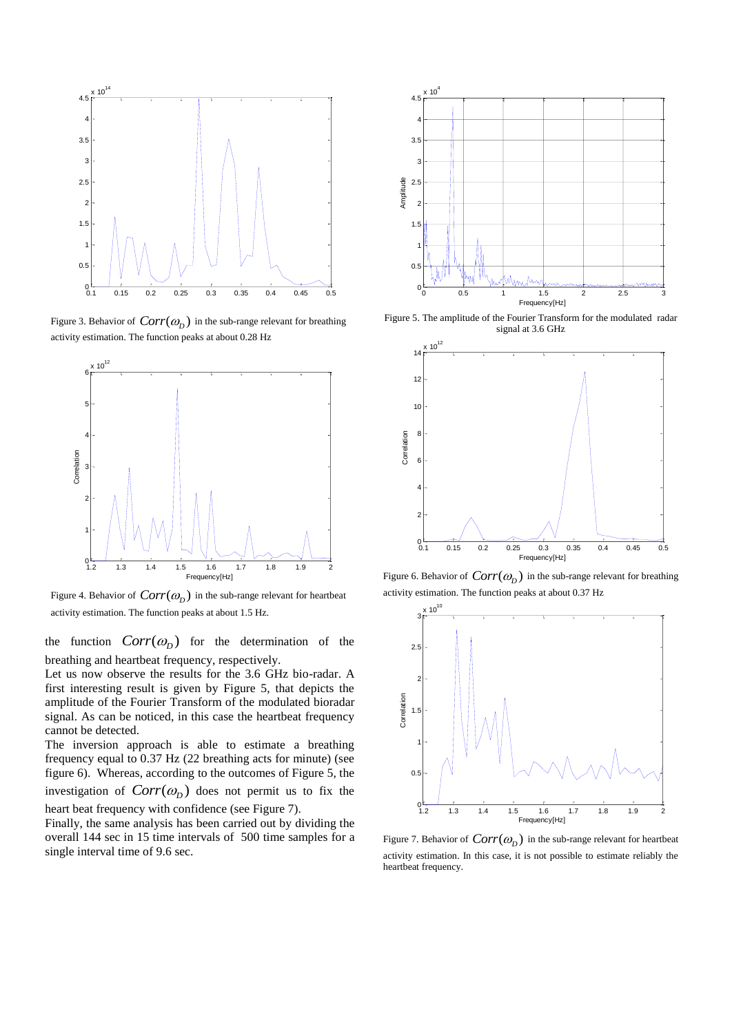

Figure 3. Behavior of  $Corr(\omega_D)$  in the sub-range relevant for breathing activity estimation. The function peaks at about 0.28 Hz



Figure 4. Behavior of  $Corr(\omega_D)$  in the sub-range relevant for heartbeat activity estimation. The function peaks at about 1.5 Hz.

the function  $Corr(\omega_D)$  for the determination of the breathing and heartbeat frequency, respectively.

Let us now observe the results for the 3.6 GHz bio-radar. A first interesting result is given by Figure 5, that depicts the amplitude of the Fourier Transform of the modulated bioradar signal. As can be noticed, in this case the heartbeat frequency cannot be detected.

The inversion approach is able to estimate a breathing frequency equal to 0.37 Hz (22 breathing acts for minute) (see figure 6). Whereas, according to the outcomes of Figure 5, the investigation of  $Corr(\omega_p)$  does not permit us to fix the heart beat frequency with confidence (see Figure 7).

Finally, the same analysis has been carried out by dividing the overall 144 sec in 15 time intervals of 500 time samples for a single interval time of 9.6 sec.



Figure 5. The amplitude of the Fourier Transform for the modulated radar signal at 3.6 GHz



Figure 6. Behavior of  $Corr(\omega_D)$  in the sub-range relevant for breathing activity estimation. The function peaks at about 0.37 Hz



Figure 7. Behavior of  $Corr(\omega_D)$  in the sub-range relevant for heartbeat activity estimation. In this case, it is not possible to estimate reliably the heartbeat frequency.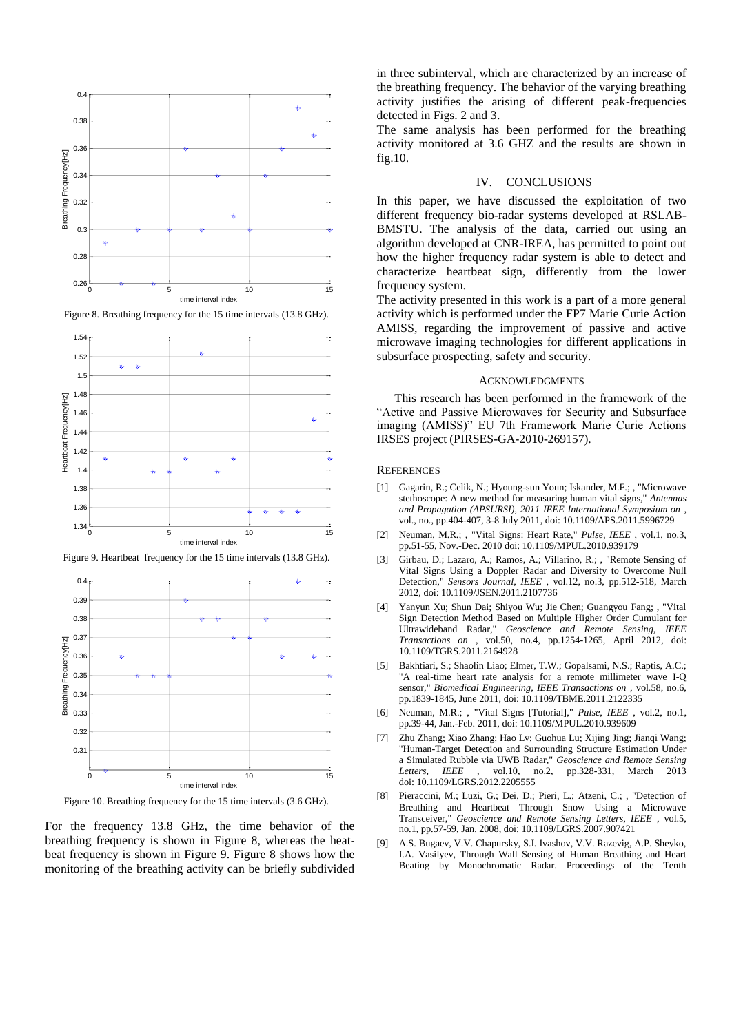

Figure 8. Breathing frequency for the 15 time intervals (13.8 GHz).



Figure 9. Heartbeat frequency for the 15 time intervals (13.8 GHz).



Figure 10. Breathing frequency for the 15 time intervals (3.6 GHz).

For the frequency 13.8 GHz, the time behavior of the breathing frequency is shown in Figure 8, whereas the heatbeat frequency is shown in Figure 9. Figure 8 shows how the monitoring of the breathing activity can be briefly subdivided

in three subinterval, which are characterized by an increase of the breathing frequency. The behavior of the varying breathing activity justifies the arising of different peak-frequencies detected in Figs. 2 and 3.

The same analysis has been performed for the breathing activity monitored at 3.6 GHZ and the results are shown in fig.10.

# IV. CONCLUSIONS

In this paper, we have discussed the exploitation of two different frequency bio-radar systems developed at RSLAB-BMSTU. The analysis of the data, carried out using an algorithm developed at CNR-IREA, has permitted to point out how the higher frequency radar system is able to detect and characterize heartbeat sign, differently from the lower frequency system.

The activity presented in this work is a part of a more general activity which is performed under the FP7 Marie Curie Action AMISS, regarding the improvement of passive and active microwave imaging technologies for different applications in subsurface prospecting, safety and security.

### ACKNOWLEDGMENTS

This research has been performed in the framework of the "Active and Passive Microwaves for Security and Subsurface imaging (AMISS)" EU 7th Framework Marie Curie Actions IRSES project (PIRSES-GA-2010-269157).

#### **REFERENCES**

- [1] Gagarin, R.; Celik, N.; Hyoung-sun Youn; Iskander, M.F.; , "Microwave stethoscope: A new method for measuring human vital signs," *Antennas and Propagation (APSURSI), 2011 IEEE International Symposium on* , vol., no., pp.404-407, 3-8 July 2011, doi: 10.1109/APS.2011.5996729
- [2] Neuman, M.R.; , "Vital Signs: Heart Rate," *Pulse, IEEE* , vol.1, no.3, pp.51-55, Nov.-Dec. 2010 doi: 10.1109/MPUL.2010.939179
- [3] Girbau, D.; Lazaro, A.; Ramos, A.; Villarino, R.; , "Remote Sensing of Vital Signs Using a Doppler Radar and Diversity to Overcome Null Detection," *Sensors Journal, IEEE* , vol.12, no.3, pp.512-518, March 2012, doi: 10.1109/JSEN.2011.2107736
- [4] Yanyun Xu; Shun Dai; Shiyou Wu; Jie Chen; Guangyou Fang; , "Vital Sign Detection Method Based on Multiple Higher Order Cumulant for Ultrawideband Radar," *Geoscience and Remote Sensing, IEEE Transactions on* , vol.50, no.4, pp.1254-1265, April 2012, doi: 10.1109/TGRS.2011.2164928
- [5] Bakhtiari, S.; Shaolin Liao; Elmer, T.W.; Gopalsami, N.S.; Raptis, A.C.; "A real-time heart rate analysis for a remote millimeter wave I-Q sensor," *Biomedical Engineering, IEEE Transactions on* , vol.58, no.6, pp.1839-1845, June 2011, doi: 10.1109/TBME.2011.2122335
- [6] Neuman, M.R.; , "Vital Signs [Tutorial]," *Pulse, IEEE* , vol.2, no.1, pp.39-44, Jan.-Feb. 2011, doi: 10.1109/MPUL.2010.939609
- [7] Zhu Zhang; Xiao Zhang; Hao Lv; Guohua Lu; Xijing Jing; Jianqi Wang; "Human-Target Detection and Surrounding Structure Estimation Under a Simulated Rubble via UWB Radar," *Geoscience and Remote Sensing Letters, IEEE* , vol.10, no.2, pp.328-331, March 2013 doi: 10.1109/LGRS.2012.2205555
- [8] Pieraccini, M.; Luzi, G.; Dei, D.; Pieri, L.; Atzeni, C.; , "Detection of Breathing and Heartbeat Through Snow Using a Microwave Transceiver," *Geoscience and Remote Sensing Letters, IEEE* , vol.5, no.1, pp.57-59, Jan. 2008, doi: 10.1109/LGRS.2007.907421
- [9] A.S. Bugaev, V.V. Chapursky, S.I. Ivashov, V.V. Razevig, A.P. Sheyko, I.A. Vasilyev, Through Wall Sensing of Human Breathing and Heart Beating by Monochromatic Radar. Proceedings of the Tenth